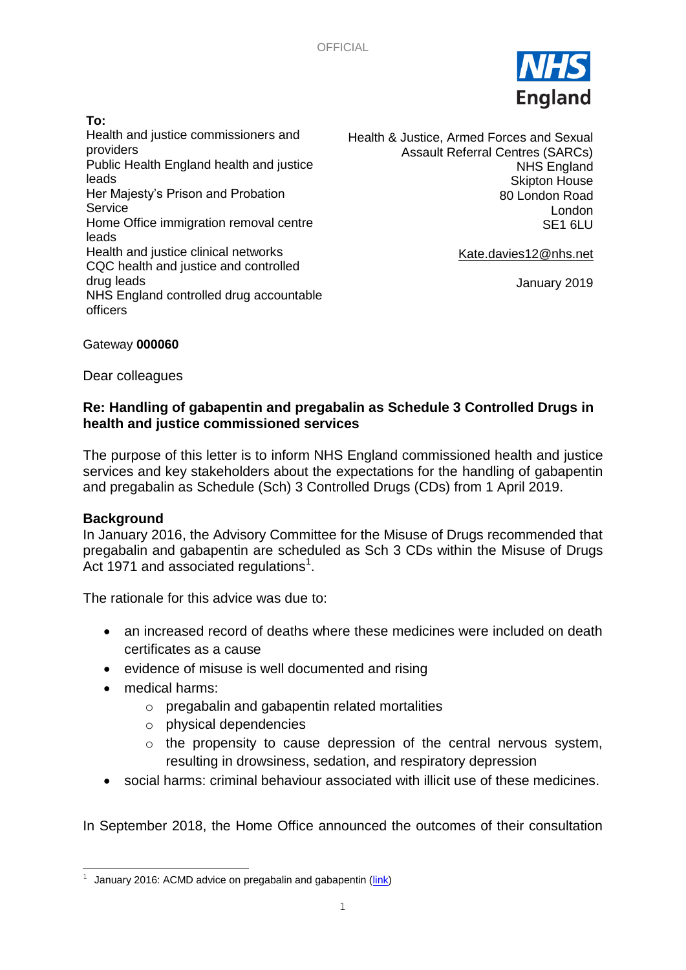

#### **To:**

Health and justice commissioners and providers Public Health England health and justice leads Her Majesty's Prison and Probation Service Home Office immigration removal centre leads Health and justice clinical networks CQC health and justice and controlled drug leads NHS England controlled drug accountable officers

Health & Justice, Armed Forces and Sexual Assault Referral Centres (SARCs) NHS England Skipton House 80 London Road London SE1 6LU

[Kate.davies12@nhs.net](mailto:Kate.davies12@nhs.net)

January 2019

#### Gateway **000060**

Dear colleagues

# **Re: Handling of gabapentin and pregabalin as Schedule 3 Controlled Drugs in health and justice commissioned services**

The purpose of this letter is to inform NHS England commissioned health and justice services and key stakeholders about the expectations for the handling of gabapentin and pregabalin as Schedule (Sch) 3 Controlled Drugs (CDs) from 1 April 2019.

### **Background**

Ē,

In January 2016, the Advisory Committee for the Misuse of Drugs recommended that pregabalin and gabapentin are scheduled as Sch 3 CDs within the Misuse of Drugs Act 1971 and associated regulations $1$ .

The rationale for this advice was due to:

- an increased record of deaths where these medicines were included on death certificates as a cause
- evidence of misuse is well documented and rising
- medical harms:
	- o pregabalin and gabapentin related mortalities
	- o physical dependencies
	- $\circ$  the propensity to cause depression of the central nervous system, resulting in drowsiness, sedation, and respiratory depression
- social harms: criminal behaviour associated with illicit use of these medicines.

In September 2018, the Home Office announced the outcomes of their consultation

 $1$  January 2016: ACMD advice on pregabalin and gabapentin ( $\frac{\text{link}}{\text{link}}$ )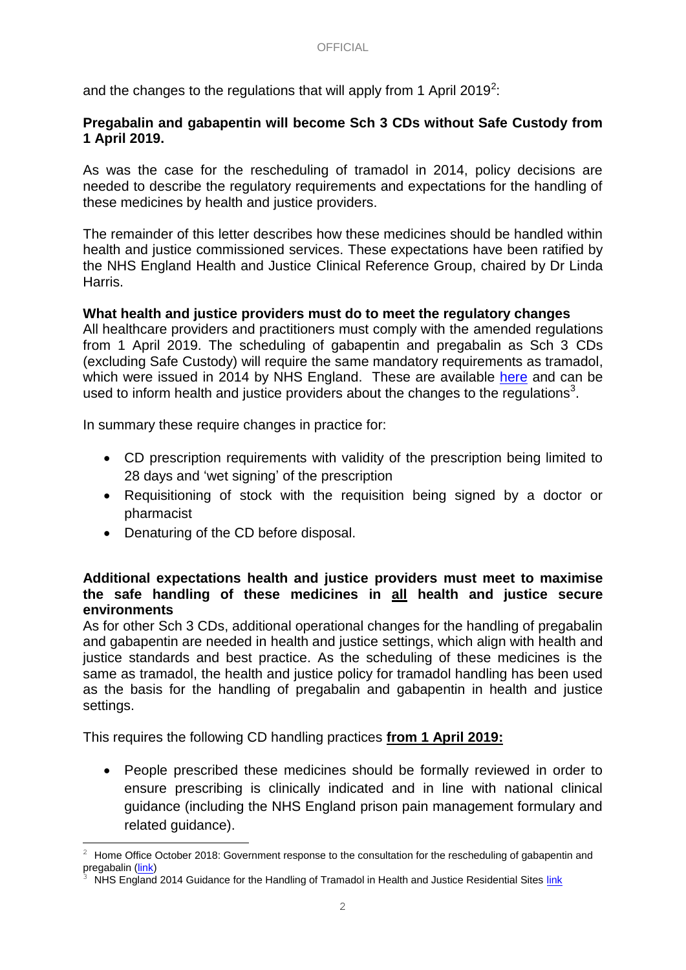and the changes to the regulations that will apply from 1 April 2019<sup>2</sup>:

### **Pregabalin and gabapentin will become Sch 3 CDs without Safe Custody from 1 April 2019.**

As was the case for the rescheduling of tramadol in 2014, policy decisions are needed to describe the regulatory requirements and expectations for the handling of these medicines by health and justice providers.

The remainder of this letter describes how these medicines should be handled within health and justice commissioned services. These expectations have been ratified by the NHS England Health and Justice Clinical Reference Group, chaired by Dr Linda Harris.

### **What health and justice providers must do to meet the regulatory changes**

All healthcare providers and practitioners must comply with the amended regulations from 1 April 2019. The scheduling of gabapentin and pregabalin as Sch 3 CDs (excluding Safe Custody) will require the same mandatory requirements as tramadol, which were issued in 2014 by NHS England. These are available [here](https://www.england.nhs.uk/commissioning/wp-content/uploads/sites/12/2014/06/tramadol-guidance-hj-sites-0614.pdf) and can be used to inform health and justice providers about the changes to the regulations<sup>3</sup>.

In summary these require changes in practice for:

- CD prescription requirements with validity of the prescription being limited to 28 days and 'wet signing' of the prescription
- Requisitioning of stock with the requisition being signed by a doctor or pharmacist
- Denaturing of the CD before disposal.

-

### **Additional expectations health and justice providers must meet to maximise the safe handling of these medicines in all health and justice secure environments**

As for other Sch 3 CDs, additional operational changes for the handling of pregabalin and gabapentin are needed in health and justice settings, which align with health and justice standards and best practice. As the scheduling of these medicines is the same as tramadol, the health and justice policy for tramadol handling has been used as the basis for the handling of pregabalin and gabapentin in health and justice settings.

This requires the following CD handling practices **from 1 April 2019:**

• People prescribed these medicines should be formally reviewed in order to ensure prescribing is clinically indicated and in line with national clinical guidance (including the NHS England prison pain management formulary and related guidance).

<sup>2</sup> Home Office October 2018: Government response to the consultation for the rescheduling of gabapentin and pregabalin [\(link\)](https://assets.publishing.service.gov.uk/government/uploads/system/uploads/attachment_data/file/748439/consultation-response-pregabalin-gabapentin.pdf)

NHS England 2014 Guidance for the Handling of Tramadol in Health and Justice Residential Sites [link](https://www.england.nhs.uk/commissioning/wp-content/uploads/sites/12/2014/06/tramadol-guidance-hj-sites-0614.pdf)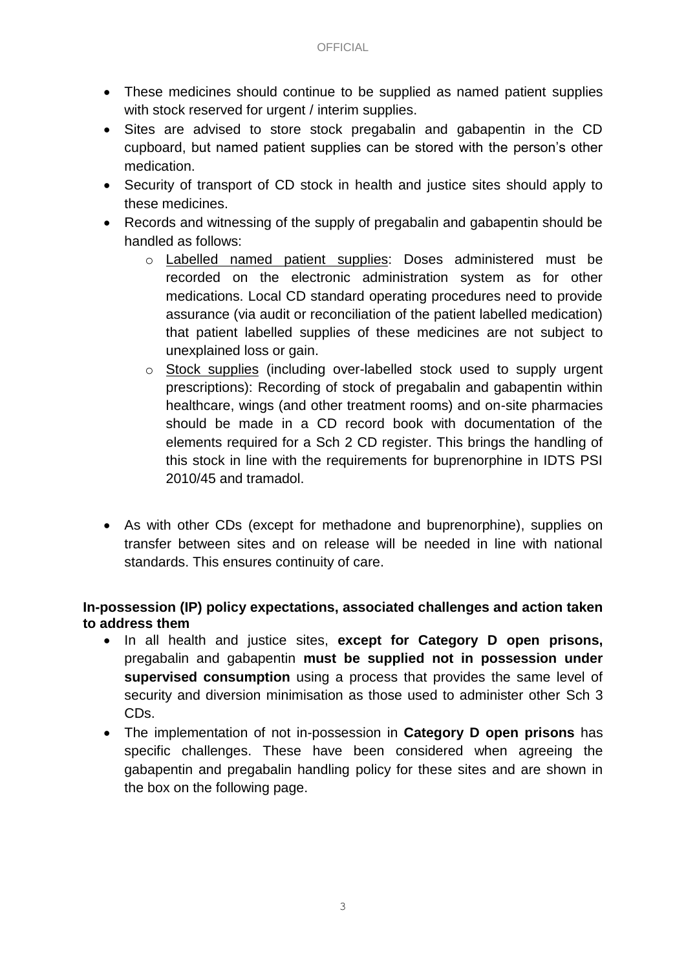- These medicines should continue to be supplied as named patient supplies with stock reserved for urgent / interim supplies.
- Sites are advised to store stock pregabalin and gabapentin in the CD cupboard, but named patient supplies can be stored with the person's other medication.
- Security of transport of CD stock in health and justice sites should apply to these medicines.
- Records and witnessing of the supply of pregabalin and gabapentin should be handled as follows:
	- o Labelled named patient supplies: Doses administered must be recorded on the electronic administration system as for other medications. Local CD standard operating procedures need to provide assurance (via audit or reconciliation of the patient labelled medication) that patient labelled supplies of these medicines are not subject to unexplained loss or gain.
	- o Stock supplies (including over-labelled stock used to supply urgent prescriptions): Recording of stock of pregabalin and gabapentin within healthcare, wings (and other treatment rooms) and on-site pharmacies should be made in a CD record book with documentation of the elements required for a Sch 2 CD register. This brings the handling of this stock in line with the requirements for buprenorphine in IDTS PSI 2010/45 and tramadol.
- As with other CDs (except for methadone and buprenorphine), supplies on transfer between sites and on release will be needed in line with national standards. This ensures continuity of care.

# **In-possession (IP) policy expectations, associated challenges and action taken to address them**

- In all health and justice sites, **except for Category D open prisons,**  pregabalin and gabapentin **must be supplied not in possession under supervised consumption** using a process that provides the same level of security and diversion minimisation as those used to administer other Sch 3 CDs.
- The implementation of not in-possession in **Category D open prisons** has specific challenges. These have been considered when agreeing the gabapentin and pregabalin handling policy for these sites and are shown in the box on the following page.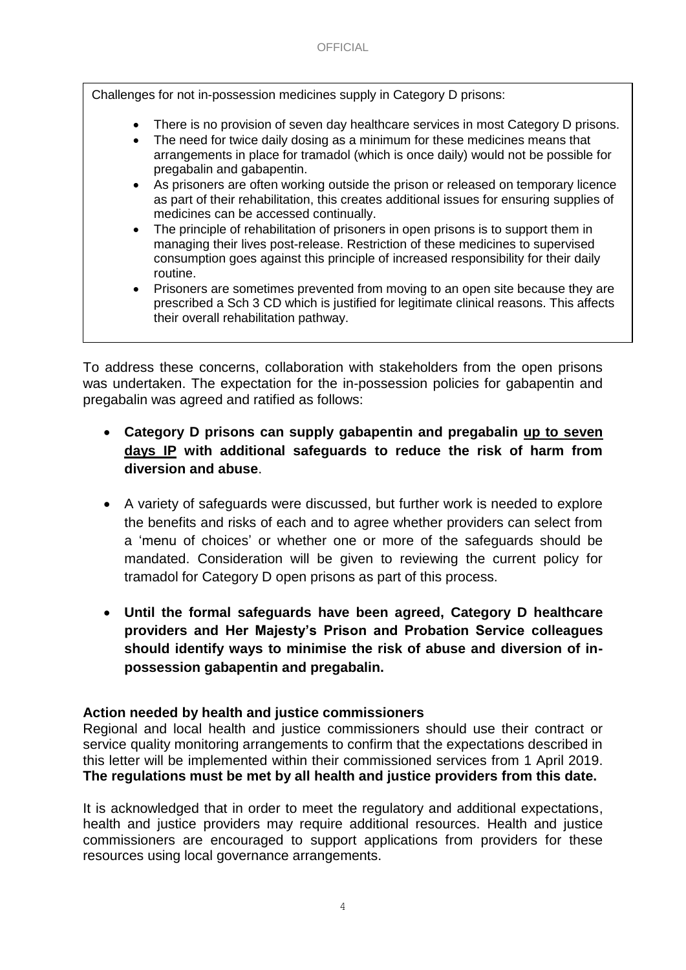Challenges for not in-possession medicines supply in Category D prisons:

- There is no provision of seven day healthcare services in most Category D prisons.
- The need for twice daily dosing as a minimum for these medicines means that arrangements in place for tramadol (which is once daily) would not be possible for pregabalin and gabapentin.
- As prisoners are often working outside the prison or released on temporary licence as part of their rehabilitation, this creates additional issues for ensuring supplies of medicines can be accessed continually.
- The principle of rehabilitation of prisoners in open prisons is to support them in managing their lives post-release. Restriction of these medicines to supervised consumption goes against this principle of increased responsibility for their daily routine.
- Prisoners are sometimes prevented from moving to an open site because they are prescribed a Sch 3 CD which is justified for legitimate clinical reasons. This affects their overall rehabilitation pathway.

To address these concerns, collaboration with stakeholders from the open prisons was undertaken. The expectation for the in-possession policies for gabapentin and pregabalin was agreed and ratified as follows:

- **Category D prisons can supply gabapentin and pregabalin up to seven days IP with additional safeguards to reduce the risk of harm from diversion and abuse**.
- A variety of safeguards were discussed, but further work is needed to explore the benefits and risks of each and to agree whether providers can select from a 'menu of choices' or whether one or more of the safeguards should be mandated. Consideration will be given to reviewing the current policy for tramadol for Category D open prisons as part of this process.
- **Until the formal safeguards have been agreed, Category D healthcare providers and Her Majesty's Prison and Probation Service colleagues should identify ways to minimise the risk of abuse and diversion of inpossession gabapentin and pregabalin.**

# **Action needed by health and justice commissioners**

Regional and local health and justice commissioners should use their contract or service quality monitoring arrangements to confirm that the expectations described in this letter will be implemented within their commissioned services from 1 April 2019. **The regulations must be met by all health and justice providers from this date.**

It is acknowledged that in order to meet the regulatory and additional expectations, health and justice providers may require additional resources. Health and justice commissioners are encouraged to support applications from providers for these resources using local governance arrangements.